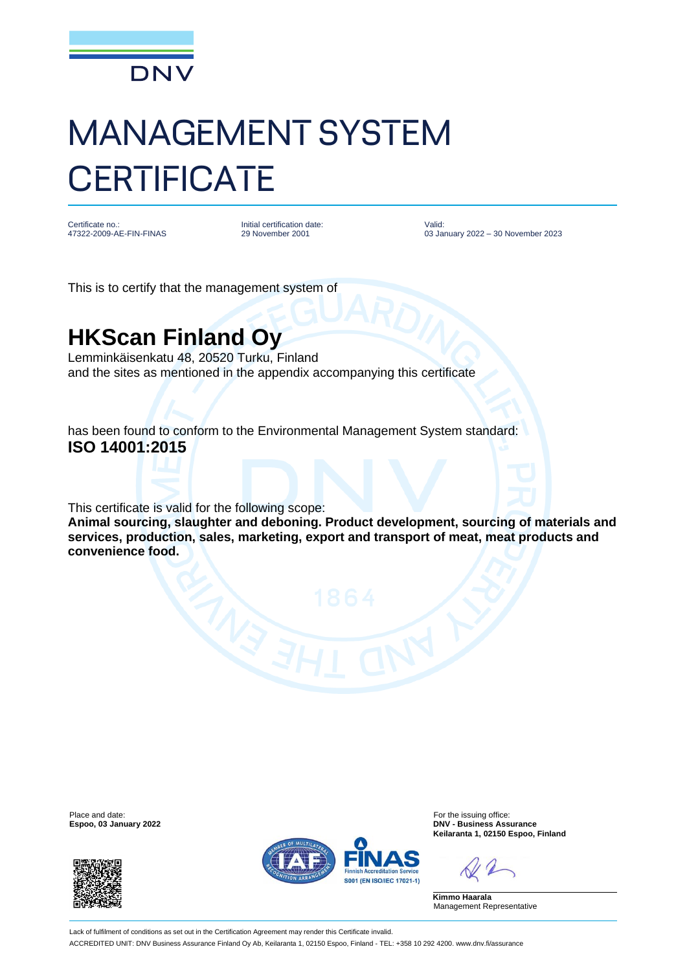

## MANAGEMENT SYSTEM **CERTIFICATE**

Certificate no.: 47322-2009-AE-FIN-FINAS Initial certification date: 29 November 2001

Valid: 03 January 2022 – 30 November 2023

This is to certify that the management system of

## **HKScan Finland Oy**

Lemminkäisenkatu 48, 20520 Turku, Finland and the sites as mentioned in the appendix accompanying this certificate

has been found to conform to the Environmental Management System standard: **ISO 14001:2015**

This certificate is valid for the following scope:

**Animal sourcing, slaughter and deboning. Product development, sourcing of materials and services, production, sales, marketing, export and transport of meat, meat products and convenience food.**

Place and date: For the issuing office:<br>
For the issuing office: Espoo, 03 January 2022<br>
For the issuing office: Espoo, 03 January 2022





**Espoo, 03 January 2022 DNV - Business Assurance Keilaranta 1, 02150 Espoo, Finland**

**Kimmo Haarala** Management Representative

Lack of fulfilment of conditions as set out in the Certification Agreement may render this Certificate invalid. ACCREDITED UNIT: DNV Business Assurance Finland Oy Ab, Keilaranta 1, 02150 Espoo, Finland - TEL: +358 10 292 4200. www.dnv.fi/assurance